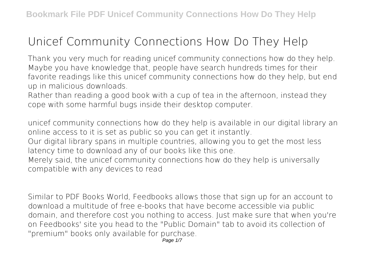## **Unicef Community Connections How Do They Help**

Thank you very much for reading **unicef community connections how do they help**. Maybe you have knowledge that, people have search hundreds times for their favorite readings like this unicef community connections how do they help, but end up in malicious downloads.

Rather than reading a good book with a cup of tea in the afternoon, instead they cope with some harmful bugs inside their desktop computer.

unicef community connections how do they help is available in our digital library an online access to it is set as public so you can get it instantly.

Our digital library spans in multiple countries, allowing you to get the most less latency time to download any of our books like this one.

Merely said, the unicef community connections how do they help is universally compatible with any devices to read

Similar to PDF Books World, Feedbooks allows those that sign up for an account to download a multitude of free e-books that have become accessible via public domain, and therefore cost you nothing to access. Just make sure that when you're on Feedbooks' site you head to the "Public Domain" tab to avoid its collection of "premium" books only available for purchase.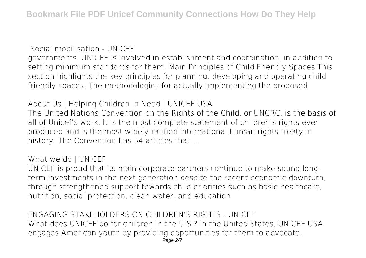**Social mobilisation - UNICEF**

governments. UNICEF is involved in establishment and coordination, in addition to setting minimum standards for them. Main Principles of Child Friendly Spaces This section highlights the key principles for planning, developing and operating child friendly spaces. The methodologies for actually implementing the proposed

**About Us | Helping Children in Need | UNICEF USA**

The United Nations Convention on the Rights of the Child, or UNCRC, is the basis of all of Unicef's work. It is the most complete statement of children's rights ever produced and is the most widely-ratified international human rights treaty in history. The Convention has 54 articles that ...

## **What we do | UNICEF**

UNICEF is proud that its main corporate partners continue to make sound longterm investments in the next generation despite the recent economic downturn, through strengthened support towards child priorities such as basic healthcare, nutrition, social protection, clean water, and education.

**ENGAGING STAKEHOLDERS ON CHILDREN'S RIGHTS - UNICEF** What does UNICEF do for children in the U.S.? In the United States, UNICEF USA engages American youth by providing opportunities for them to advocate, Page 2/7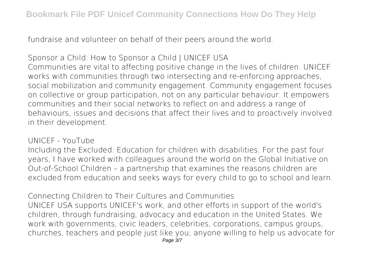fundraise and volunteer on behalf of their peers around the world.

**Sponsor a Child: How to Sponsor a Child | UNICEF USA** Communities are vital to affecting positive change in the lives of children. UNICEF works with communities through two intersecting and re-enforcing approaches, social mobilization and community engagement. Community engagement focuses on collective or group participation, not on any particular behaviour. It empowers communities and their social networks to reflect on and address a range of behaviours, issues and decisions that affect their lives and to proactively involved in their development.

**UNICEF - YouTube**

Including the Excluded: Education for children with disabilities. For the past four years, I have worked with colleagues around the world on the Global Initiative on Out-of-School Children – a partnership that examines the reasons children are excluded from education and seeks ways for every child to go to school and learn.

**Connecting Children to Their Cultures and Communities** UNICEF USA supports UNICEF's work, and other efforts in support of the world's children, through fundraising, advocacy and education in the United States. We work with governments, civic leaders, celebrities, corporations, campus groups, churches, teachers and people just like you; anyone willing to help us advocate for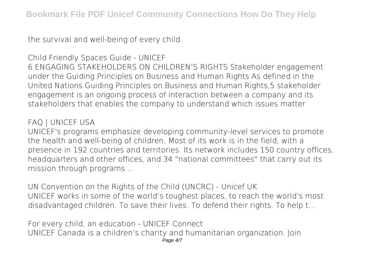the survival and well-being of every child.

## **Child Friendly Spaces Guide - UNICEF**

6 ENGAGING STAKEHOLDERS ON CHILDREN'S RIGHTS Stakeholder engagement under the Guiding Principles on Business and Human Rights As defined in the United Nations Guiding Principles on Business and Human Rights,5 stakeholder engagement is an ongoing process of interaction between a company and its stakeholders that enables the company to understand which issues matter

## **FAQ | UNICEF USA**

UNICEF's programs emphasize developing community-level services to promote the health and well-being of children. Most of its work is in the field, with a presence in 192 countries and territories. Its network includes 150 country offices, headquarters and other offices, and 34 "national committees" that carry out its mission through programs ...

**UN Convention on the Rights of the Child (UNCRC) - Unicef UK** UNICEF works in some of the world's toughest places, to reach the world's most disadvantaged children. To save their lives. To defend their rights. To help t...

**For every child, an education - UNICEF Connect** UNICEF Canada is a children's charity and humanitarian organization. Join Page 4/7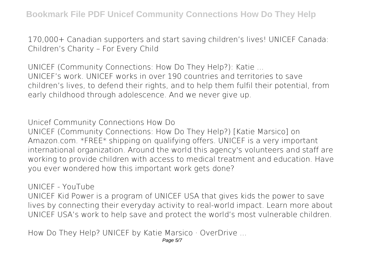170,000+ Canadian supporters and start saving children's lives! UNICEF Canada: Children's Charity – For Every Child

**UNICEF (Community Connections: How Do They Help?): Katie ...** UNICEF's work. UNICEF works in over 190 countries and territories to save children's lives, to defend their rights, and to help them fulfil their potential, from early childhood through adolescence. And we never give up.

**Unicef Community Connections How Do** UNICEF (Community Connections: How Do They Help?) [Katie Marsico] on Amazon.com. \*FREE\* shipping on qualifying offers. UNICEF is a very important international organization. Around the world this agency's volunteers and staff are working to provide children with access to medical treatment and education. Have you ever wondered how this important work gets done?

**UNICEF - YouTube**

UNICEF Kid Power is a program of UNICEF USA that gives kids the power to save lives by connecting their everyday activity to real-world impact. Learn more about UNICEF USA's work to help save and protect the world's most vulnerable children.

**How Do They Help? UNICEF by Katie Marsico · OverDrive ...**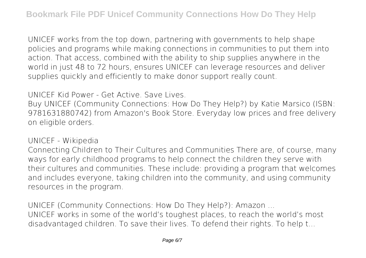UNICEF works from the top down, partnering with governments to help shape policies and programs while making connections in communities to put them into action. That access, combined with the ability to ship supplies anywhere in the world in just 48 to 72 hours, ensures UNICEF can leverage resources and deliver supplies quickly and efficiently to make donor support really count.

**UNICEF Kid Power - Get Active. Save Lives.**

Buy UNICEF (Community Connections: How Do They Help?) by Katie Marsico (ISBN: 9781631880742) from Amazon's Book Store. Everyday low prices and free delivery on eligible orders.

**UNICEF - Wikipedia**

Connecting Children to Their Cultures and Communities There are, of course, many ways for early childhood programs to help connect the children they serve with their cultures and communities. These include: providing a program that welcomes and includes everyone, taking children into the community, and using community resources in the program.

**UNICEF (Community Connections: How Do They Help?): Amazon ...** UNICEF works in some of the world's toughest places, to reach the world's most disadvantaged children. To save their lives. To defend their rights. To help t...